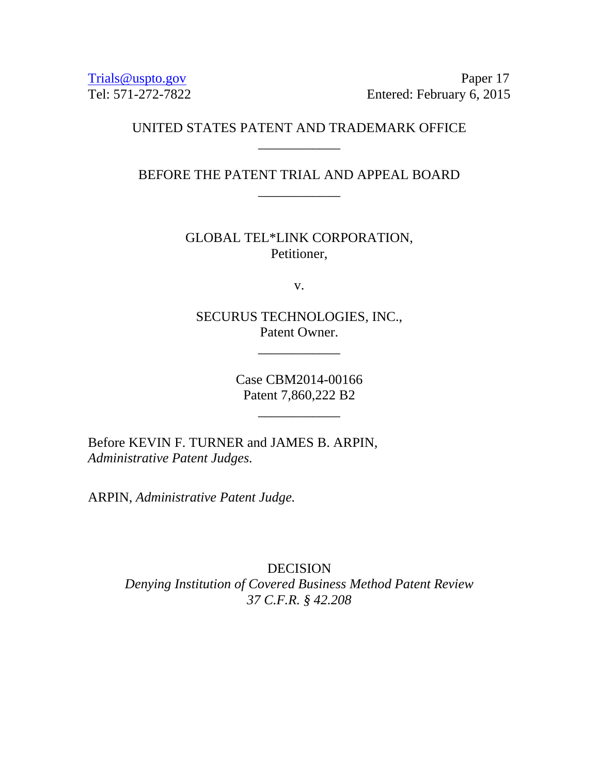[Trials@uspto.gov](mailto:Trials@uspto.gov) Paper 17 Tel: 571-272-7822 Entered: February 6, 2015

# UNITED STATES PATENT AND TRADEMARK OFFICE \_\_\_\_\_\_\_\_\_\_\_\_

BEFORE THE PATENT TRIAL AND APPEAL BOARD \_\_\_\_\_\_\_\_\_\_\_\_

> GLOBAL TEL\*LINK CORPORATION, Petitioner,

> > v.

SECURUS TECHNOLOGIES, INC., Patent Owner.

\_\_\_\_\_\_\_\_\_\_\_\_

Case CBM2014-00166 Patent 7,860,222 B2

\_\_\_\_\_\_\_\_\_\_\_\_

Before KEVIN F. TURNER and JAMES B. ARPIN, *Administrative Patent Judges.*

ARPIN, *Administrative Patent Judge.*

DECISION *Denying Institution of Covered Business Method Patent Review 37 C.F.R. § 42.208*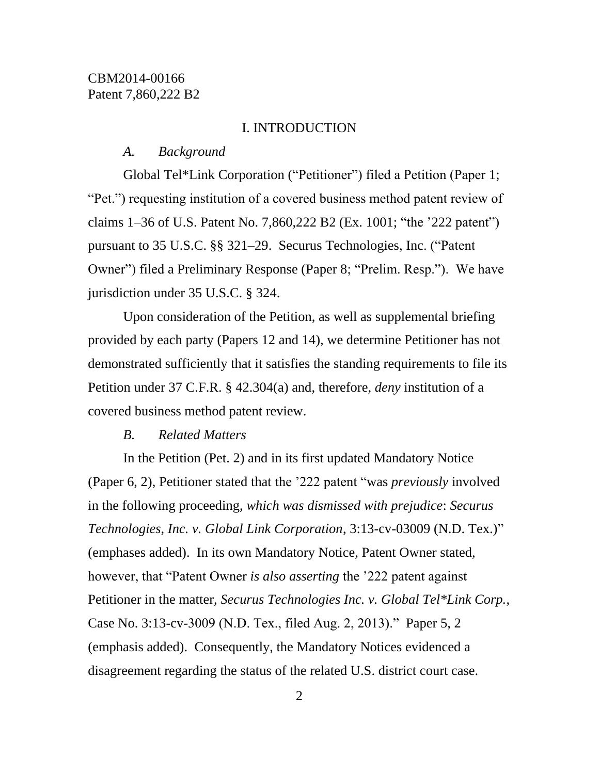#### I. INTRODUCTION

### *A. Background*

Global Tel\*Link Corporation ("Petitioner") filed a Petition (Paper 1; "Pet.") requesting institution of a covered business method patent review of claims 1–36 of U.S. Patent No. 7,860,222 B2 (Ex. 1001; "the '222 patent") pursuant to 35 U.S.C. §§ 321–29. Securus Technologies, Inc. ("Patent Owner") filed a Preliminary Response (Paper 8; "Prelim. Resp."). We have jurisdiction under 35 U.S.C. § 324.

Upon consideration of the Petition, as well as supplemental briefing provided by each party (Papers 12 and 14), we determine Petitioner has not demonstrated sufficiently that it satisfies the standing requirements to file its Petition under 37 C.F.R. § 42.304(a) and, therefore, *deny* institution of a covered business method patent review.

#### *B. Related Matters*

In the Petition (Pet. 2) and in its first updated Mandatory Notice (Paper 6, 2), Petitioner stated that the '222 patent "was *previously* involved in the following proceeding, *which was dismissed with prejudice*: *Securus Technologies, Inc. v. Global Link Corporation*, 3:13-cv-03009 (N.D. Tex.)" (emphases added). In its own Mandatory Notice, Patent Owner stated, however, that "Patent Owner *is also asserting* the '222 patent against Petitioner in the matter, *Securus Technologies Inc. v. Global Tel\*Link Corp.*, Case No. 3:13-cv-3009 (N.D. Tex., filed Aug. 2, 2013)." Paper 5, 2 (emphasis added). Consequently, the Mandatory Notices evidenced a disagreement regarding the status of the related U.S. district court case.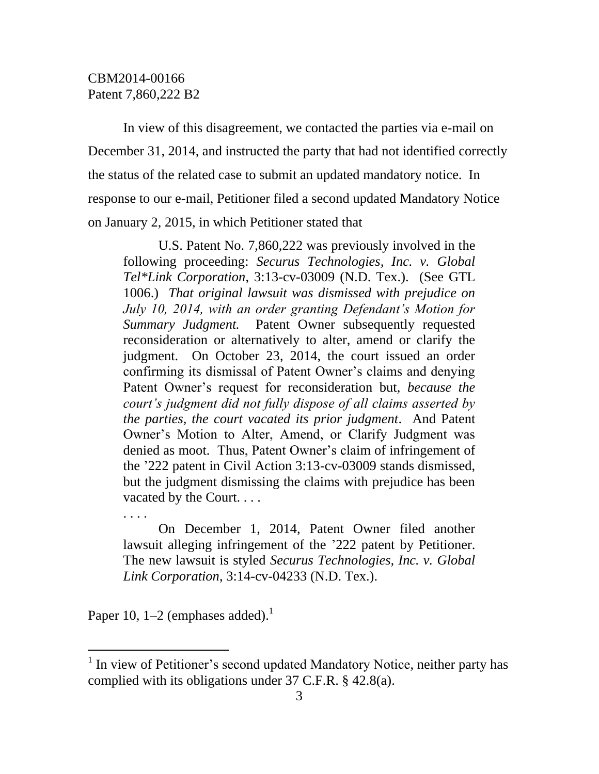In view of this disagreement, we contacted the parties via e-mail on December 31, 2014, and instructed the party that had not identified correctly the status of the related case to submit an updated mandatory notice. In response to our e-mail, Petitioner filed a second updated Mandatory Notice on January 2, 2015, in which Petitioner stated that

U.S. Patent No. 7,860,222 was previously involved in the following proceeding: *Securus Technologies, Inc. v. Global Tel\*Link Corporation*, 3:13-cv-03009 (N.D. Tex.). (See GTL 1006.) *That original lawsuit was dismissed with prejudice on July 10, 2014, with an order granting Defendant's Motion for Summary Judgment.* Patent Owner subsequently requested reconsideration or alternatively to alter, amend or clarify the judgment. On October 23, 2014, the court issued an order confirming its dismissal of Patent Owner's claims and denying Patent Owner's request for reconsideration but, *because the court's judgment did not fully dispose of all claims asserted by the parties, the court vacated its prior judgment*. And Patent Owner's Motion to Alter, Amend, or Clarify Judgment was denied as moot. Thus, Patent Owner's claim of infringement of the '222 patent in Civil Action 3:13-cv-03009 stands dismissed, but the judgment dismissing the claims with prejudice has been vacated by the Court. . . .

On December 1, 2014, Patent Owner filed another lawsuit alleging infringement of the '222 patent by Petitioner. The new lawsuit is styled *Securus Technologies, Inc. v. Global Link Corporation*, 3:14-cv-04233 (N.D. Tex.).

Paper 10, 1–2 (emphases added).<sup>1</sup>

. . . .

l

<sup>&</sup>lt;sup>1</sup> In view of Petitioner's second updated Mandatory Notice, neither party has complied with its obligations under 37 C.F.R. § 42.8(a).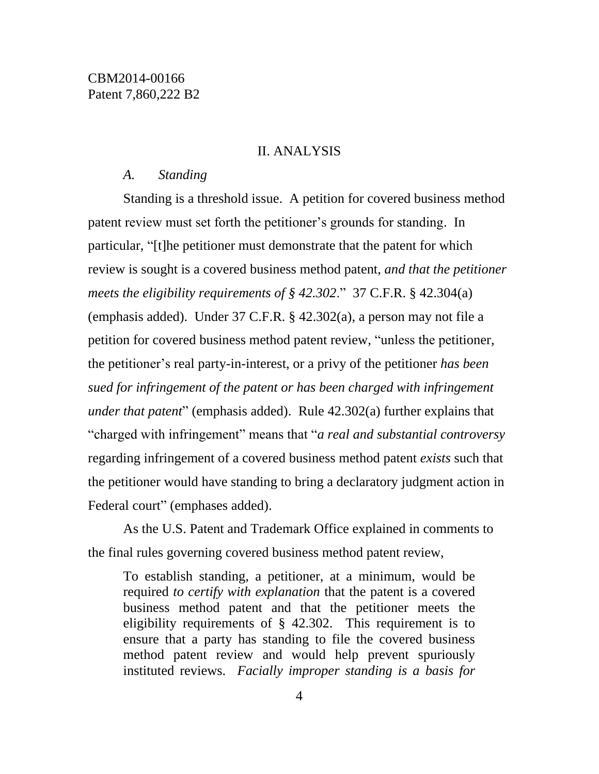### II. ANALYSIS

### *A. Standing*

Standing is a threshold issue. A petition for covered business method patent review must set forth the petitioner's grounds for standing. In particular, "[t]he petitioner must demonstrate that the patent for which review is sought is a covered business method patent, *and that the petitioner meets the eligibility requirements of § 42.302*." 37 C.F.R. § 42.304(a) (emphasis added). Under 37 C.F.R. § 42.302(a), a person may not file a petition for covered business method patent review, "unless the petitioner, the petitioner's real party-in-interest, or a privy of the petitioner *has been sued for infringement of the patent or has been charged with infringement under that patent*" (emphasis added). Rule 42.302(a) further explains that "charged with infringement" means that "*a real and substantial controversy* regarding infringement of a covered business method patent *exists* such that the petitioner would have standing to bring a declaratory judgment action in Federal court" (emphases added).

As the U.S. Patent and Trademark Office explained in comments to the final rules governing covered business method patent review,

To establish standing, a petitioner, at a minimum, would be required *to certify with explanation* that the patent is a covered business method patent and that the petitioner meets the eligibility requirements of § 42.302. This requirement is to ensure that a party has standing to file the covered business method patent review and would help prevent spuriously instituted reviews. *Facially improper standing is a basis for*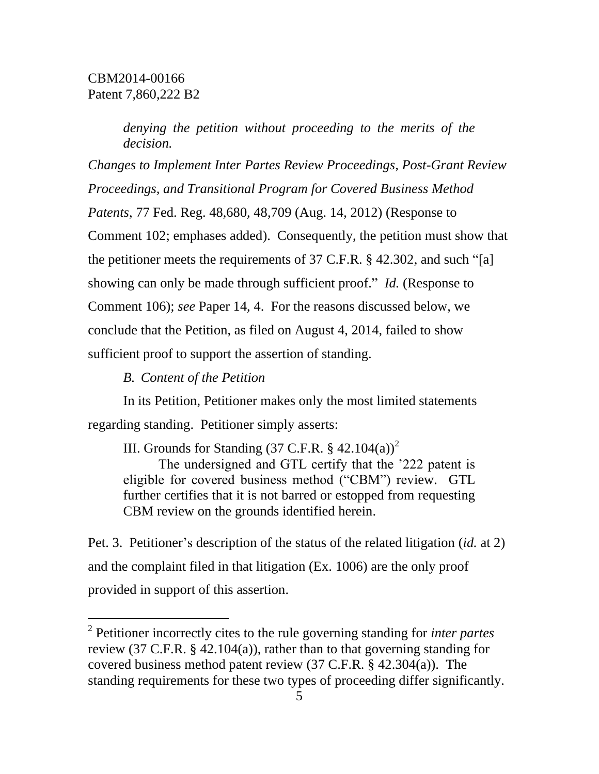*denying the petition without proceeding to the merits of the decision.*

*Changes to Implement Inter Partes Review Proceedings, Post-Grant Review Proceedings, and Transitional Program for Covered Business Method Patents*, 77 Fed. Reg. 48,680, 48,709 (Aug. 14, 2012) (Response to Comment 102; emphases added). Consequently, the petition must show that the petitioner meets the requirements of 37 C.F.R. § 42.302, and such "[a] showing can only be made through sufficient proof." *Id.* (Response to Comment 106); *see* Paper 14, 4. For the reasons discussed below, we conclude that the Petition, as filed on August 4, 2014, failed to show sufficient proof to support the assertion of standing.

*B. Content of the Petition*

l

In its Petition, Petitioner makes only the most limited statements regarding standing. Petitioner simply asserts:

III. Grounds for Standing  $(37 \text{ C.F.R. } § 42.104(a))^2$ The undersigned and GTL certify that the '222 patent is eligible for covered business method ("CBM") review. GTL further certifies that it is not barred or estopped from requesting CBM review on the grounds identified herein.

Pet. 3. Petitioner's description of the status of the related litigation (*id.* at 2) and the complaint filed in that litigation (Ex. 1006) are the only proof provided in support of this assertion.

<sup>2</sup> Petitioner incorrectly cites to the rule governing standing for *inter partes* review (37 C.F.R. § 42.104(a)), rather than to that governing standing for covered business method patent review (37 C.F.R. § 42.304(a)). The standing requirements for these two types of proceeding differ significantly.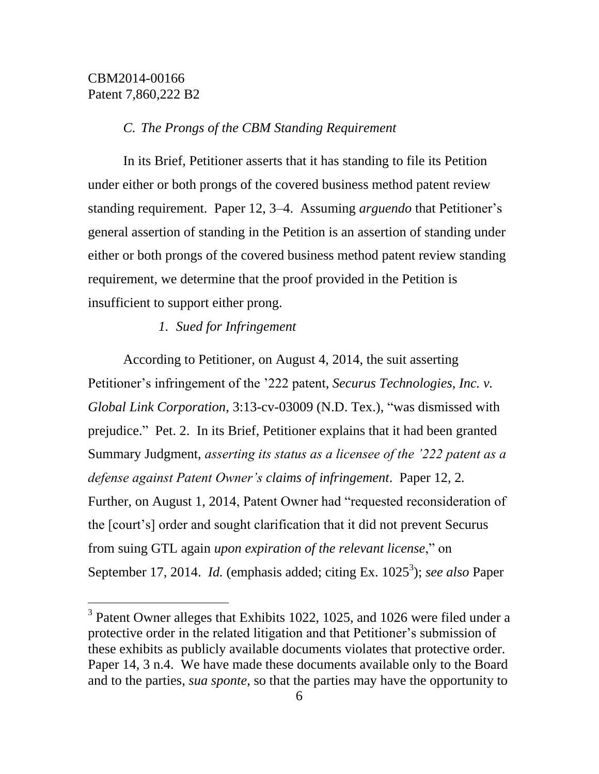$\overline{a}$ 

#### *C. The Prongs of the CBM Standing Requirement*

In its Brief, Petitioner asserts that it has standing to file its Petition under either or both prongs of the covered business method patent review standing requirement. Paper 12, 3–4. Assuming *arguendo* that Petitioner's general assertion of standing in the Petition is an assertion of standing under either or both prongs of the covered business method patent review standing requirement, we determine that the proof provided in the Petition is insufficient to support either prong.

#### *1. Sued for Infringement*

According to Petitioner, on August 4, 2014, the suit asserting Petitioner's infringement of the '222 patent, *Securus Technologies, Inc. v. Global Link Corporation*, 3:13-cv-03009 (N.D. Tex.), "was dismissed with prejudice." Pet. 2. In its Brief, Petitioner explains that it had been granted Summary Judgment, *asserting its status as a licensee of the '222 patent as a defense against Patent Owner's claims of infringement*. Paper 12, 2*.*  Further, on August 1, 2014, Patent Owner had "requested reconsideration of the [court's] order and sought clarification that it did not prevent Securus from suing GTL again *upon expiration of the relevant license*," on September 17, 2014. *Id.* (emphasis added; citing Ex. 1025<sup>3</sup>); *see also* Paper

<sup>&</sup>lt;sup>3</sup> Patent Owner alleges that Exhibits 1022, 1025, and 1026 were filed under a protective order in the related litigation and that Petitioner's submission of these exhibits as publicly available documents violates that protective order. Paper 14, 3 n.4. We have made these documents available only to the Board and to the parties, *sua sponte*, so that the parties may have the opportunity to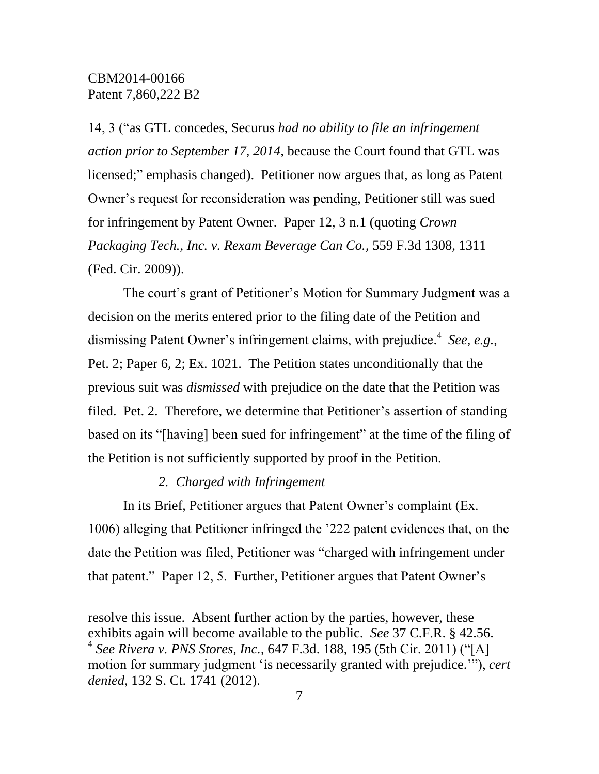$\overline{a}$ 

14, 3 ("as GTL concedes, Securus *had no ability to file an infringement action prior to September 17, 2014*, because the Court found that GTL was licensed;" emphasis changed). Petitioner now argues that, as long as Patent Owner's request for reconsideration was pending, Petitioner still was sued for infringement by Patent Owner. Paper 12, 3 n.1 (quoting *Crown Packaging Tech., Inc. v. Rexam Beverage Can Co.*, 559 F.3d 1308, 1311 (Fed. Cir. 2009)).

The court's grant of Petitioner's Motion for Summary Judgment was a decision on the merits entered prior to the filing date of the Petition and dismissing Patent Owner's infringement claims, with prejudice. 4 *See, e.g.*, Pet. 2; Paper 6, 2; Ex. 1021. The Petition states unconditionally that the previous suit was *dismissed* with prejudice on the date that the Petition was filed. Pet. 2. Therefore, we determine that Petitioner's assertion of standing based on its "[having] been sued for infringement" at the time of the filing of the Petition is not sufficiently supported by proof in the Petition.

### *2. Charged with Infringement*

In its Brief, Petitioner argues that Patent Owner's complaint (Ex. 1006) alleging that Petitioner infringed the '222 patent evidences that, on the date the Petition was filed, Petitioner was "charged with infringement under that patent." Paper 12, 5. Further, Petitioner argues that Patent Owner's

resolve this issue. Absent further action by the parties, however, these exhibits again will become available to the public. *See* 37 C.F.R. § 42.56. 4 *See Rivera v. PNS Stores, Inc.*, 647 F.3d. 188, 195 (5th Cir. 2011) ("[A] motion for summary judgment 'is necessarily granted with prejudice.'"), *cert denied*, 132 S. Ct. 1741 (2012).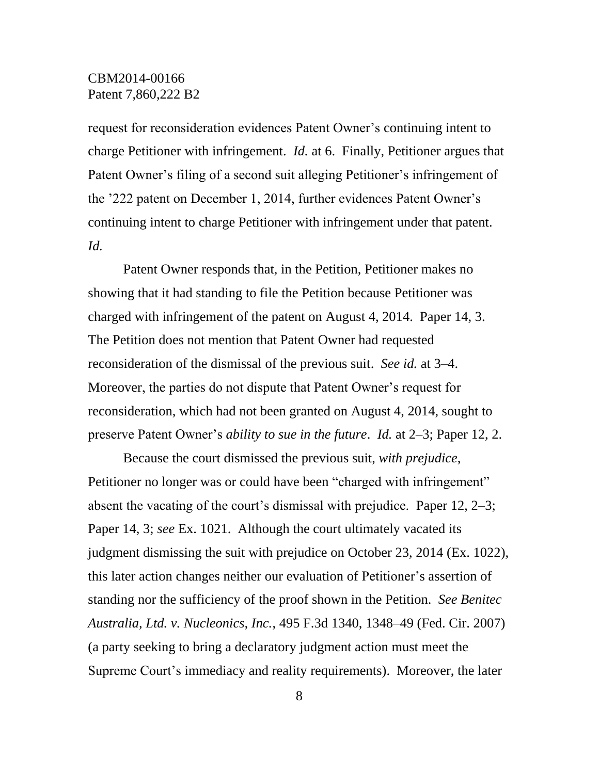request for reconsideration evidences Patent Owner's continuing intent to charge Petitioner with infringement. *Id.* at 6. Finally, Petitioner argues that Patent Owner's filing of a second suit alleging Petitioner's infringement of the '222 patent on December 1, 2014, further evidences Patent Owner's continuing intent to charge Petitioner with infringement under that patent. *Id.*

Patent Owner responds that, in the Petition, Petitioner makes no showing that it had standing to file the Petition because Petitioner was charged with infringement of the patent on August 4, 2014. Paper 14, 3. The Petition does not mention that Patent Owner had requested reconsideration of the dismissal of the previous suit. *See id.* at 3–4. Moreover, the parties do not dispute that Patent Owner's request for reconsideration, which had not been granted on August 4, 2014, sought to preserve Patent Owner's *ability to sue in the future*. *Id.* at 2–3; Paper 12, 2.

Because the court dismissed the previous suit, *with prejudice*, Petitioner no longer was or could have been "charged with infringement" absent the vacating of the court's dismissal with prejudice. Paper 12, 2–3; Paper 14, 3; *see* Ex. 1021. Although the court ultimately vacated its judgment dismissing the suit with prejudice on October 23, 2014 (Ex. 1022), this later action changes neither our evaluation of Petitioner's assertion of standing nor the sufficiency of the proof shown in the Petition. *See Benitec Australia, Ltd. v. Nucleonics, Inc.*, 495 F.3d 1340, 1348–49 (Fed. Cir. 2007) (a party seeking to bring a declaratory judgment action must meet the Supreme Court's immediacy and reality requirements). Moreover, the later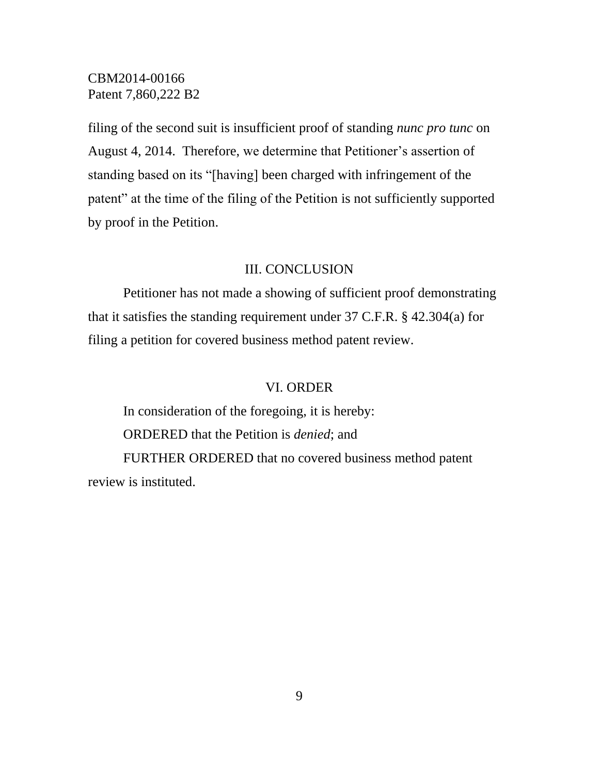filing of the second suit is insufficient proof of standing *nunc pro tunc* on August 4, 2014. Therefore, we determine that Petitioner's assertion of standing based on its "[having] been charged with infringement of the patent" at the time of the filing of the Petition is not sufficiently supported by proof in the Petition.

#### III. CONCLUSION

Petitioner has not made a showing of sufficient proof demonstrating that it satisfies the standing requirement under 37 C.F.R. § 42.304(a) for filing a petition for covered business method patent review.

### VI. ORDER

In consideration of the foregoing, it is hereby: ORDERED that the Petition is *denied*; and FURTHER ORDERED that no covered business method patent review is instituted.